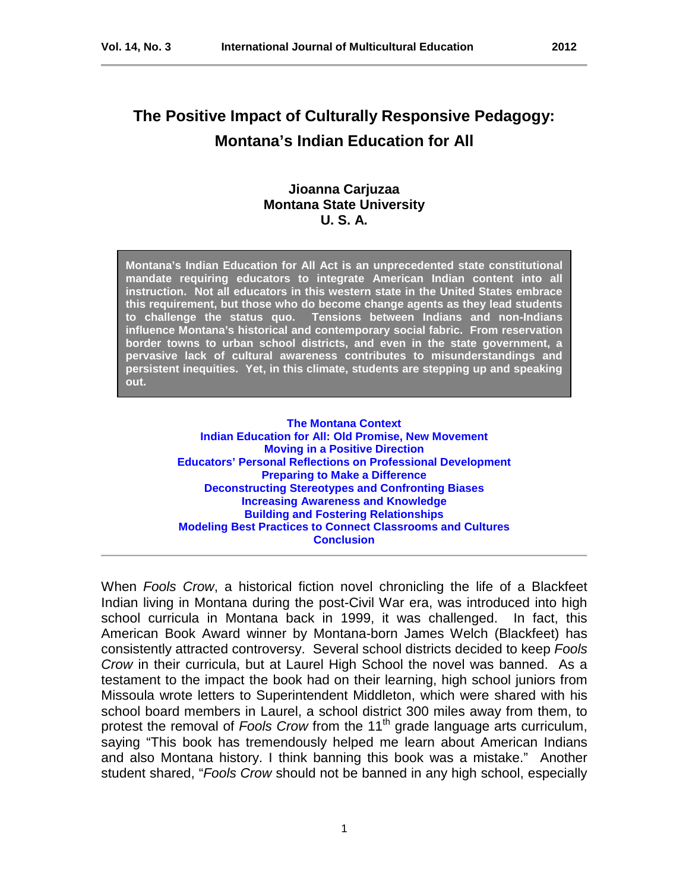# **The Positive Impact of Culturally Responsive Pedagogy: Montana's Indian Education for All**

# **Jioanna Carjuzaa Montana State University U. S. A.**

**Montana's Indian Education for All Act is an unprecedented state constitutional mandate requiring educators to integrate American Indian content into all instruction. Not all educators in this western state in the United States embrace this requirement, but those who do become change agents as they lead students to challenge the status quo. Tensions between Indians and non-Indians influence Montana's historical and contemporary social fabric. From reservation border towns to urban school districts, and even in the state government, a pervasive lack of cultural awareness contributes to misunderstandings and persistent inequities. Yet, in this climate, students are stepping up and speaking out.**

> **[The Montana Context](#page-2-0) [Indian Education for All: Old Promise, New Movement](#page-3-0) [Moving in a Positive Direction](#page-4-0) [Educators' Personal Reflections on Professional Development](#page-5-0) [Preparing to Make a Difference](#page-7-0) [Deconstructing Stereotypes and Confronting Biases](#page-8-0) [Increasing Awareness and Knowledge](#page-10-0) [Building and Fostering Relationships](#page-10-1) [Modeling Best Practices to Connect Classrooms and Cultures](#page-11-0) [Conclusion](#page-12-0)**

When *Fools Crow*, a historical fiction novel chronicling the life of a Blackfeet Indian living in Montana during the post-Civil War era, was introduced into high school curricula in Montana back in 1999, it was challenged. In fact, this American Book Award winner by Montana-born James Welch (Blackfeet) has consistently attracted controversy. Several school districts decided to keep *Fools Crow* in their curricula, but at Laurel High School the novel was banned. As a testament to the impact the book had on their learning, high school juniors from Missoula wrote letters to Superintendent Middleton, which were shared with his school board members in Laurel, a school district 300 miles away from them, to protest the removal of *Fools Crow* from the 11<sup>th</sup> grade language arts curriculum, saying "This book has tremendously helped me learn about American Indians and also Montana history. I think banning this book was a mistake." Another student shared, "*Fools Crow* should not be banned in any high school, especially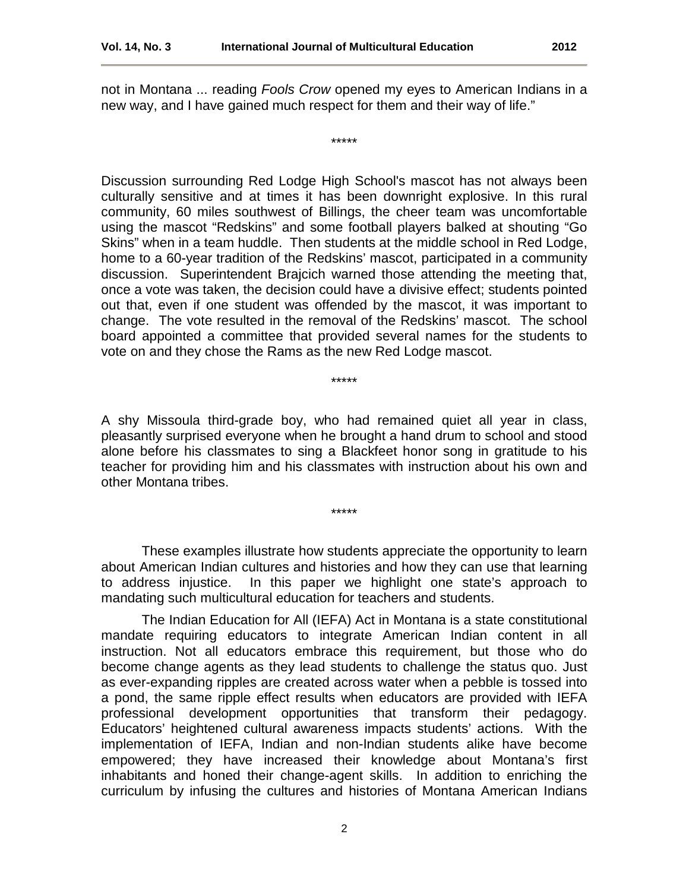not in Montana ... reading *Fools Crow* opened my eyes to American Indians in a new way, and I have gained much respect for them and their way of life."

\*\*\*\*\*

Discussion surrounding Red Lodge High School's mascot has not always been culturally sensitive and at times it has been downright explosive. In this rural community, 60 miles southwest of Billings, the cheer team was uncomfortable using the mascot "Redskins" and some football players balked at shouting "Go Skins" when in a team huddle. Then students at the middle school in Red Lodge, home to a 60-year tradition of the Redskins' mascot, participated in a community discussion. Superintendent Brajcich warned those attending the meeting that, once a vote was taken, the decision could have a divisive effect; students pointed out that, even if one student was offended by the mascot, it was important to change. The vote resulted in the removal of the Redskins' mascot. The school board appointed a committee that provided several names for the students to vote on and they chose the Rams as the new Red Lodge mascot.

\*\*\*\*\*

A shy Missoula third-grade boy, who had remained quiet all year in class, pleasantly surprised everyone when he brought a hand drum to school and stood alone before his classmates to sing a Blackfeet honor song in gratitude to his teacher for providing him and his classmates with instruction about his own and other Montana tribes.

\*\*\*\*\*

These examples illustrate how students appreciate the opportunity to learn about American Indian cultures and histories and how they can use that learning to address injustice. In this paper we highlight one state's approach to mandating such multicultural education for teachers and students.

The Indian Education for All (IEFA) Act in Montana is a state constitutional mandate requiring educators to integrate American Indian content in all instruction. Not all educators embrace this requirement, but those who do become change agents as they lead students to challenge the status quo. Just as ever-expanding ripples are created across water when a pebble is tossed into a pond, the same ripple effect results when educators are provided with IEFA professional development opportunities that transform their pedagogy. Educators' heightened cultural awareness impacts students' actions. With the implementation of IEFA, Indian and non-Indian students alike have become empowered; they have increased their knowledge about Montana's first inhabitants and honed their change-agent skills. In addition to enriching the curriculum by infusing the cultures and histories of Montana American Indians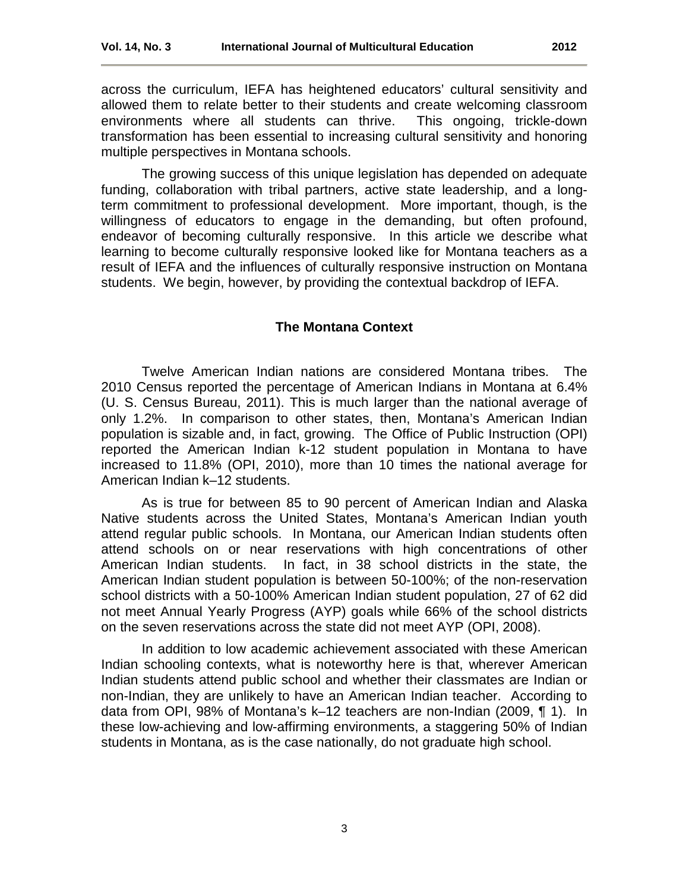across the curriculum, IEFA has heightened educators' cultural sensitivity and allowed them to relate better to their students and create welcoming classroom environments where all students can thrive. This ongoing, trickle-down transformation has been essential to increasing cultural sensitivity and honoring multiple perspectives in Montana schools.

The growing success of this unique legislation has depended on adequate funding, collaboration with tribal partners, active state leadership, and a longterm commitment to professional development. More important, though, is the willingness of educators to engage in the demanding, but often profound, endeavor of becoming culturally responsive. In this article we describe what learning to become culturally responsive looked like for Montana teachers as a result of IEFA and the influences of culturally responsive instruction on Montana students. We begin, however, by providing the contextual backdrop of IEFA.

#### **The Montana Context**

<span id="page-2-0"></span>Twelve American Indian nations are considered Montana tribes. The 2010 Census reported the percentage of American Indians in Montana at 6.4% (U. S. Census Bureau, 2011). This is much larger than the national average of only 1.2%. In comparison to other states, then, Montana's American Indian population is sizable and, in fact, growing. The Office of Public Instruction (OPI) reported the American Indian k-12 student population in Montana to have increased to 11.8% (OPI, 2010), more than 10 times the national average for American Indian k–12 students.

As is true for between 85 to 90 percent of American Indian and Alaska Native students across the United States, Montana's American Indian youth attend regular public schools. In Montana, our American Indian students often attend schools on or near reservations with high concentrations of other American Indian students. In fact, in 38 school districts in the state, the American Indian student population is between 50-100%; of the non-reservation school districts with a 50-100% American Indian student population, 27 of 62 did not meet Annual Yearly Progress (AYP) goals while 66% of the school districts on the seven reservations across the state did not meet AYP (OPI, 2008).

In addition to low academic achievement associated with these American Indian schooling contexts, what is noteworthy here is that, wherever American Indian students attend public school and whether their classmates are Indian or non-Indian, they are unlikely to have an American Indian teacher. According to data from OPI, 98% of Montana's k–12 teachers are non-Indian (2009, ¶ 1). In these low-achieving and low-affirming environments, a staggering 50% of Indian students in Montana, as is the case nationally, do not graduate high school.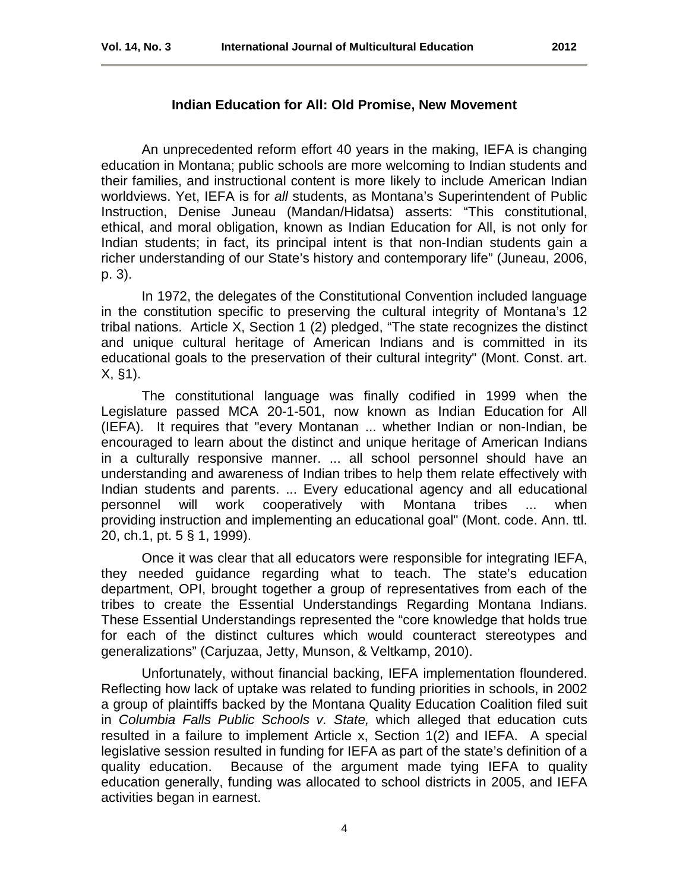# **Indian Education for All: Old Promise, New Movement**

<span id="page-3-0"></span>An unprecedented reform effort 40 years in the making, IEFA is changing education in Montana; public schools are more welcoming to Indian students and their families, and instructional content is more likely to include American Indian worldviews. Yet, IEFA is for *all* students, as Montana's Superintendent of Public Instruction, Denise Juneau (Mandan/Hidatsa) asserts: "This constitutional, ethical, and moral obligation, known as Indian Education for All, is not only for Indian students; in fact, its principal intent is that non-Indian students gain a richer understanding of our State's history and contemporary life" (Juneau, 2006, p. 3).

In 1972, the delegates of the Constitutional Convention included language in the constitution specific to preserving the cultural integrity of Montana's 12 tribal nations. Article X, Section 1 (2) pledged, "The state recognizes the distinct and unique cultural heritage of American Indians and is committed in its educational goals to the preservation of their cultural integrity" (Mont. Const. art. X, §1).

The constitutional language was finally codified in 1999 when the Legislature passed MCA 20-1-501, now known as Indian Education for All (IEFA). It requires that "every Montanan ... whether Indian or non-Indian, be encouraged to learn about the distinct and unique heritage of American Indians in a culturally responsive manner. ... all school personnel should have an understanding and awareness of Indian tribes to help them relate effectively with Indian students and parents. ... Every educational agency and all educational personnel will work cooperatively with Montana tribes ... when providing instruction and implementing an educational goal" (Mont. code. Ann. ttl. 20, ch.1, pt. 5 § 1, 1999).

Once it was clear that all educators were responsible for integrating IEFA, they needed guidance regarding what to teach. The state's education department, OPI, brought together a group of representatives from each of the tribes to create the Essential Understandings Regarding Montana Indians. These Essential Understandings represented the "core knowledge that holds true for each of the distinct cultures which would counteract stereotypes and generalizations" (Carjuzaa, Jetty, Munson, & Veltkamp, 2010).

Unfortunately, without financial backing, IEFA implementation floundered. Reflecting how lack of uptake was related to funding priorities in schools, in 2002 a group of plaintiffs backed by the Montana Quality Education Coalition filed suit in *Columbia Falls Public Schools v. State,* which alleged that education cuts resulted in a failure to implement Article x, Section 1(2) and IEFA. A special legislative session resulted in funding for IEFA as part of the state's definition of a quality education. Because of the argument made tying IEFA to quality education generally, funding was allocated to school districts in 2005, and IEFA activities began in earnest.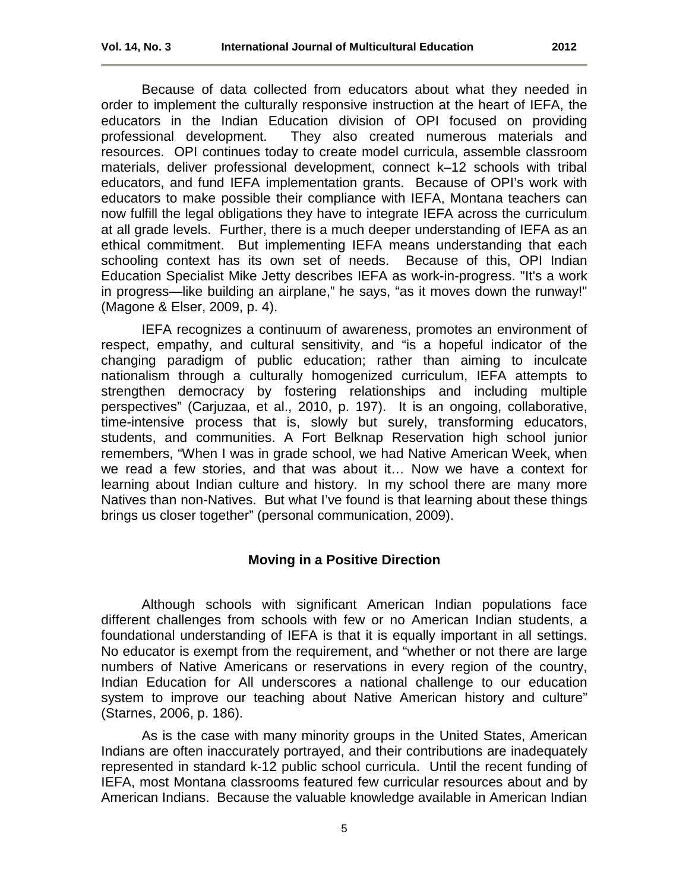Because of data collected from educators about what they needed in order to implement the culturally responsive instruction at the heart of IEFA, the educators in the Indian Education division of OPI focused on providing professional development. They also created numerous materials and resources. OPI continues today to create model curricula, assemble classroom materials, deliver professional development, connect k–12 schools with tribal

educators, and fund IEFA implementation grants. Because of OPI's work with educators to make possible their compliance with IEFA, Montana teachers can now fulfill the legal obligations they have to integrate IEFA across the curriculum at all grade levels. Further, there is a much deeper understanding of IEFA as an ethical commitment. But implementing IEFA means understanding that each schooling context has its own set of needs. Because of this, OPI Indian Education Specialist Mike Jetty describes IEFA as work-in-progress. "It's a work in progress—like building an airplane," he says, "as it moves down the runway!" (Magone & Elser, 2009, p. 4).

IEFA recognizes a continuum of awareness, promotes an environment of respect, empathy, and cultural sensitivity, and "is a hopeful indicator of the changing paradigm of public education; rather than aiming to inculcate nationalism through a culturally homogenized curriculum, IEFA attempts to strengthen democracy by fostering relationships and including multiple perspectives" (Carjuzaa, et al., 2010, p. 197). It is an ongoing, collaborative, time-intensive process that is, slowly but surely, transforming educators, students, and communities. A Fort Belknap Reservation high school junior remembers, "When I was in grade school, we had Native American Week, when we read a few stories, and that was about it… Now we have a context for learning about Indian culture and history. In my school there are many more Natives than non-Natives. But what I've found is that learning about these things brings us closer together" (personal communication, 2009).

# **Moving in a Positive Direction**

<span id="page-4-0"></span>Although schools with significant American Indian populations face different challenges from schools with few or no American Indian students, a foundational understanding of IEFA is that it is equally important in all settings. No educator is exempt from the requirement, and "whether or not there are large numbers of Native Americans or reservations in every region of the country, Indian Education for All underscores a national challenge to our education system to improve our teaching about Native American history and culture" (Starnes, 2006, p. 186).

As is the case with many minority groups in the United States, American Indians are often inaccurately portrayed, and their contributions are inadequately represented in standard k-12 public school curricula. Until the recent funding of IEFA, most Montana classrooms featured few curricular resources about and by American Indians. Because the valuable knowledge available in American Indian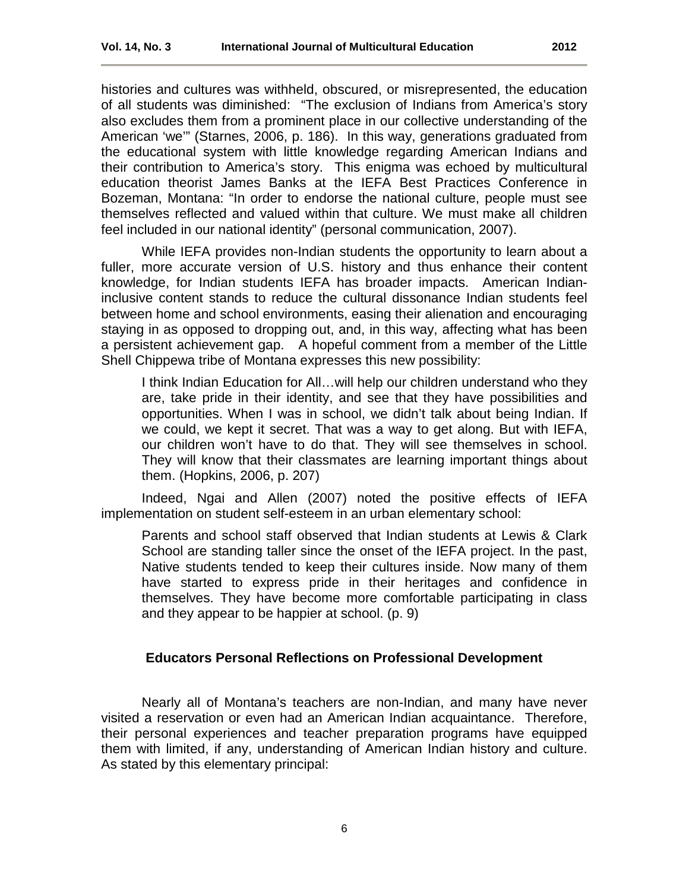histories and cultures was withheld, obscured, or misrepresented, the education of all students was diminished: "The exclusion of Indians from America's story also excludes them from a prominent place in our collective understanding of the American 'we'" (Starnes, 2006, p. 186). In this way, generations graduated from the educational system with little knowledge regarding American Indians and their contribution to America's story. This enigma was echoed by multicultural education theorist James Banks at the IEFA Best Practices Conference in Bozeman, Montana: "In order to endorse the national culture, people must see themselves reflected and valued within that culture. We must make all children feel included in our national identity" (personal communication, 2007).

While IEFA provides non-Indian students the opportunity to learn about a fuller, more accurate version of U.S. history and thus enhance their content knowledge, for Indian students IEFA has broader impacts. American Indianinclusive content stands to reduce the cultural dissonance Indian students feel between home and school environments, easing their alienation and encouraging staying in as opposed to dropping out, and, in this way, affecting what has been a persistent achievement gap. A hopeful comment from a member of the Little Shell Chippewa tribe of Montana expresses this new possibility:

I think Indian Education for All…will help our children understand who they are, take pride in their identity, and see that they have possibilities and opportunities. When I was in school, we didn't talk about being Indian. If we could, we kept it secret. That was a way to get along. But with IEFA, our children won't have to do that. They will see themselves in school. They will know that their classmates are learning important things about them. (Hopkins, 2006, p. 207)

Indeed, Ngai and Allen (2007) noted the positive effects of IEFA implementation on student self-esteem in an urban elementary school:

Parents and school staff observed that Indian students at Lewis & Clark School are standing taller since the onset of the IEFA project. In the past, Native students tended to keep their cultures inside. Now many of them have started to express pride in their heritages and confidence in themselves. They have become more comfortable participating in class and they appear to be happier at school. (p. 9)

# **Educators Personal Reflections on Professional Development**

<span id="page-5-0"></span>Nearly all of Montana's teachers are non-Indian, and many have never visited a reservation or even had an American Indian acquaintance. Therefore, their personal experiences and teacher preparation programs have equipped them with limited, if any, understanding of American Indian history and culture. As stated by this elementary principal: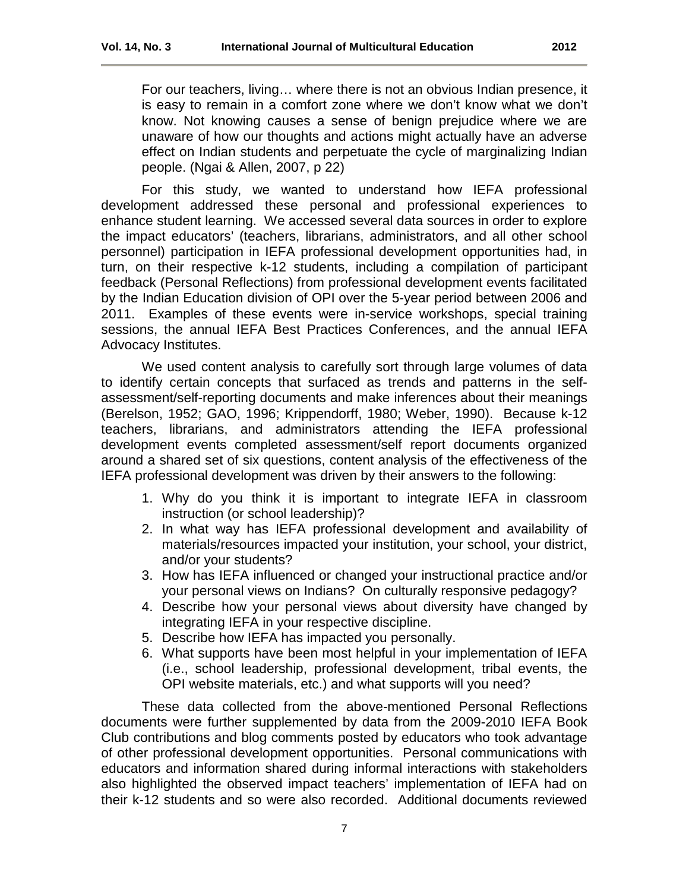For our teachers, living… where there is not an obvious Indian presence, it is easy to remain in a comfort zone where we don't know what we don't know. Not knowing causes a sense of benign prejudice where we are unaware of how our thoughts and actions might actually have an adverse effect on Indian students and perpetuate the cycle of marginalizing Indian people. (Ngai & Allen, 2007, p 22)

For this study, we wanted to understand how IEFA professional development addressed these personal and professional experiences to enhance student learning. We accessed several data sources in order to explore the impact educators' (teachers, librarians, administrators, and all other school personnel) participation in IEFA professional development opportunities had, in turn, on their respective k-12 students, including a compilation of participant feedback (Personal Reflections) from professional development events facilitated by the Indian Education division of OPI over the 5-year period between 2006 and 2011. Examples of these events were in-service workshops, special training sessions, the annual IEFA Best Practices Conferences, and the annual IEFA Advocacy Institutes.

We used content analysis to carefully sort through large volumes of data to identify certain concepts that surfaced as trends and patterns in the selfassessment/self-reporting documents and make inferences about their meanings (Berelson, 1952; GAO, 1996; Krippendorff, 1980; Weber, 1990). Because k-12 teachers, librarians, and administrators attending the IEFA professional development events completed assessment/self report documents organized around a shared set of six questions, content analysis of the effectiveness of the IEFA professional development was driven by their answers to the following:

- 1. Why do you think it is important to integrate IEFA in classroom instruction (or school leadership)?
- 2. In what way has IEFA professional development and availability of materials/resources impacted your institution, your school, your district, and/or your students?
- 3. How has IEFA influenced or changed your instructional practice and/or your personal views on Indians? On culturally responsive pedagogy?
- 4. Describe how your personal views about diversity have changed by integrating IEFA in your respective discipline.
- 5. Describe how IEFA has impacted you personally.
- 6. What supports have been most helpful in your implementation of IEFA (i.e., school leadership, professional development, tribal events, the OPI website materials, etc.) and what supports will you need?

These data collected from the above-mentioned Personal Reflections documents were further supplemented by data from the 2009-2010 IEFA Book Club contributions and blog comments posted by educators who took advantage of other professional development opportunities. Personal communications with educators and information shared during informal interactions with stakeholders also highlighted the observed impact teachers' implementation of IEFA had on their k-12 students and so were also recorded. Additional documents reviewed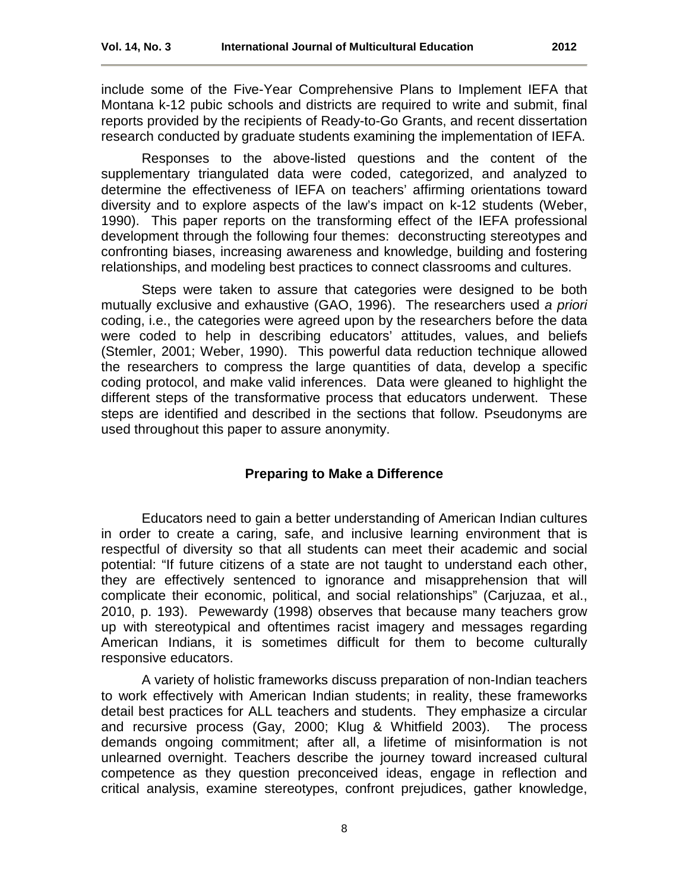include some of the Five-Year Comprehensive Plans to Implement IEFA that Montana k-12 pubic schools and districts are required to write and submit, final reports provided by the recipients of Ready-to-Go Grants, and recent dissertation research conducted by graduate students examining the implementation of IEFA.

Responses to the above-listed questions and the content of the supplementary triangulated data were coded, categorized, and analyzed to determine the effectiveness of IEFA on teachers' affirming orientations toward diversity and to explore aspects of the law's impact on k-12 students (Weber, 1990). This paper reports on the transforming effect of the IEFA professional development through the following four themes: deconstructing stereotypes and confronting biases, increasing awareness and knowledge, building and fostering relationships, and modeling best practices to connect classrooms and cultures.

Steps were taken to assure that categories were designed to be both mutually exclusive and exhaustive (GAO, 1996). The researchers used *a priori* coding, i.e., the categories were agreed upon by the researchers before the data were coded to help in describing educators' attitudes, values, and beliefs (Stemler, 2001; Weber, 1990). This powerful data reduction technique allowed the researchers to compress the large quantities of data, develop a specific coding protocol, and make valid inferences. Data were gleaned to highlight the different steps of the transformative process that educators underwent. These steps are identified and described in the sections that follow. Pseudonyms are used throughout this paper to assure anonymity.

# **Preparing to Make a Difference**

<span id="page-7-0"></span>Educators need to gain a better understanding of American Indian cultures in order to create a caring, safe, and inclusive learning environment that is respectful of diversity so that all students can meet their academic and social potential: "If future citizens of a state are not taught to understand each other, they are effectively sentenced to ignorance and misapprehension that will complicate their economic, political, and social relationships" (Carjuzaa, et al., 2010, p. 193). Pewewardy (1998) observes that because many teachers grow up with stereotypical and oftentimes racist imagery and messages regarding American Indians, it is sometimes difficult for them to become culturally responsive educators.

A variety of holistic frameworks discuss preparation of non-Indian teachers to work effectively with American Indian students; in reality, these frameworks detail best practices for ALL teachers and students. They emphasize a circular and recursive process (Gay, 2000; Klug & Whitfield 2003). The process demands ongoing commitment; after all, a lifetime of misinformation is not unlearned overnight. Teachers describe the journey toward increased cultural competence as they question preconceived ideas, engage in reflection and critical analysis, examine stereotypes, confront prejudices, gather knowledge,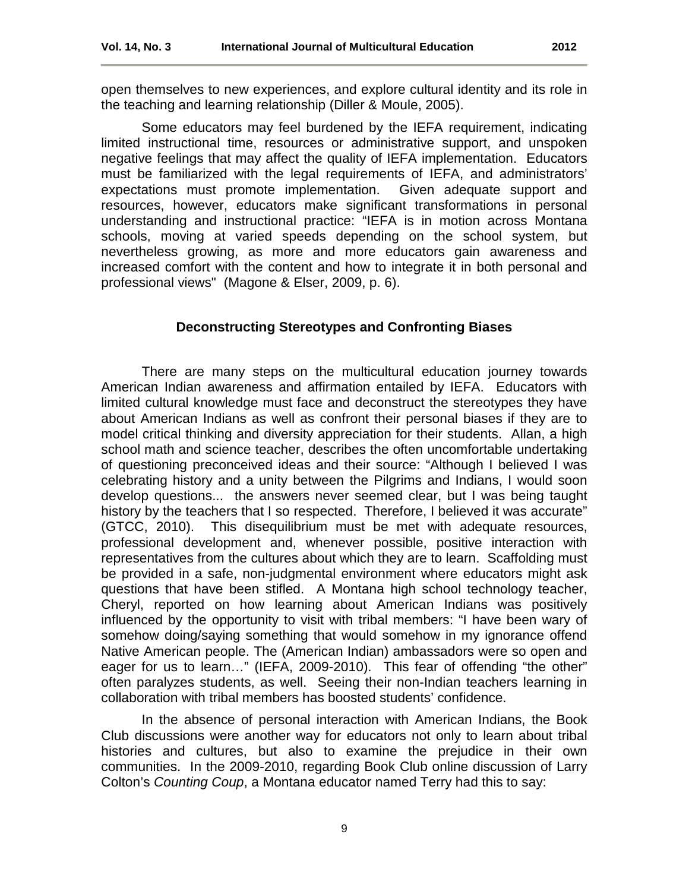open themselves to new experiences, and explore cultural identity and its role in the teaching and learning relationship (Diller & Moule, 2005).

Some educators may feel burdened by the IEFA requirement, indicating limited instructional time, resources or administrative support, and unspoken negative feelings that may affect the quality of IEFA implementation. Educators must be familiarized with the legal requirements of IEFA, and administrators' expectations must promote implementation. Given adequate support and resources, however, educators make significant transformations in personal understanding and instructional practice: "IEFA is in motion across Montana schools, moving at varied speeds depending on the school system, but nevertheless growing, as more and more educators gain awareness and increased comfort with the content and how to integrate it in both personal and professional views" (Magone & Elser, 2009, p. 6).

#### **Deconstructing Stereotypes and Confronting Biases**

<span id="page-8-0"></span>There are many steps on the multicultural education journey towards American Indian awareness and affirmation entailed by IEFA. Educators with limited cultural knowledge must face and deconstruct the stereotypes they have about American Indians as well as confront their personal biases if they are to model critical thinking and diversity appreciation for their students. Allan, a high school math and science teacher, describes the often uncomfortable undertaking of questioning preconceived ideas and their source: "Although I believed I was celebrating history and a unity between the Pilgrims and Indians, I would soon develop questions... the answers never seemed clear, but I was being taught history by the teachers that I so respected. Therefore, I believed it was accurate" (GTCC, 2010). This disequilibrium must be met with adequate resources, professional development and, whenever possible, positive interaction with representatives from the cultures about which they are to learn. Scaffolding must be provided in a safe, non-judgmental environment where educators might ask questions that have been stifled. A Montana high school technology teacher, Cheryl, reported on how learning about American Indians was positively influenced by the opportunity to visit with tribal members: "I have been wary of somehow doing/saying something that would somehow in my ignorance offend Native American people. The (American Indian) ambassadors were so open and eager for us to learn…" (IEFA, 2009-2010). This fear of offending "the other" often paralyzes students, as well. Seeing their non-Indian teachers learning in collaboration with tribal members has boosted students' confidence.

In the absence of personal interaction with American Indians, the Book Club discussions were another way for educators not only to learn about tribal histories and cultures, but also to examine the prejudice in their own communities. In the 2009-2010, regarding Book Club online discussion of Larry Colton's *Counting Coup*, a Montana educator named Terry had this to say: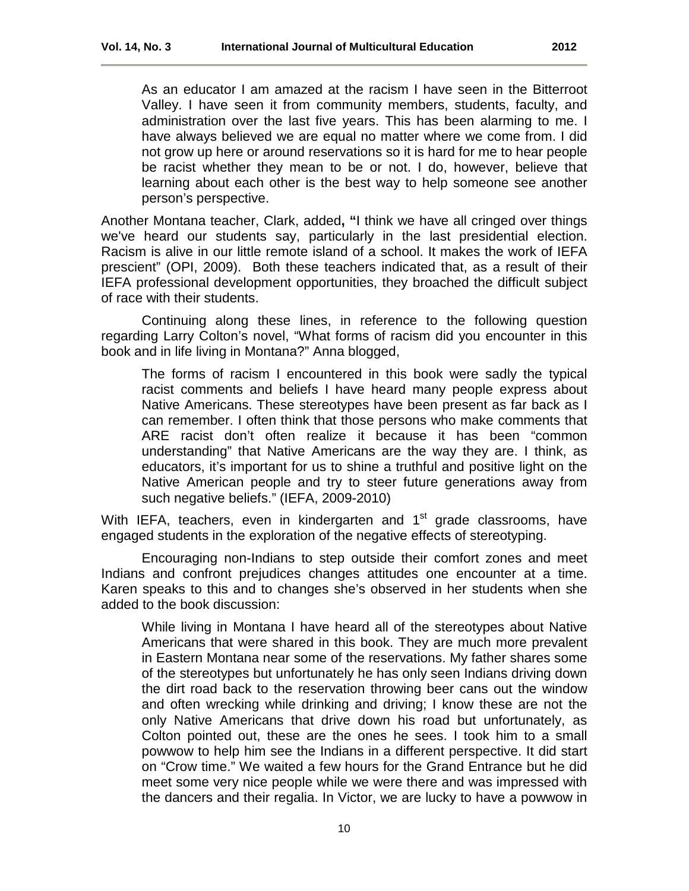As an educator I am amazed at the racism I have seen in the Bitterroot Valley. I have seen it from community members, students, faculty, and administration over the last five years. This has been alarming to me. I have always believed we are equal no matter where we come from. I did not grow up here or around reservations so it is hard for me to hear people be racist whether they mean to be or not. I do, however, believe that learning about each other is the best way to help someone see another person's perspective.

Another Montana teacher, Clark, added**, "**I think we have all cringed over things we've heard our students say, particularly in the last presidential election. Racism is alive in our little remote island of a school. It makes the work of IEFA prescient" (OPI, 2009). Both these teachers indicated that, as a result of their IEFA professional development opportunities, they broached the difficult subject of race with their students.

Continuing along these lines, in reference to the following question regarding Larry Colton's novel, "What forms of racism did you encounter in this book and in life living in Montana?" Anna blogged,

The forms of racism I encountered in this book were sadly the typical racist comments and beliefs I have heard many people express about Native Americans. These stereotypes have been present as far back as I can remember. I often think that those persons who make comments that ARE racist don't often realize it because it has been "common understanding" that Native Americans are the way they are. I think, as educators, it's important for us to shine a truthful and positive light on the Native American people and try to steer future generations away from such negative beliefs." (IEFA, 2009-2010)

With IEFA, teachers, even in kindergarten and  $1<sup>st</sup>$  grade classrooms, have engaged students in the exploration of the negative effects of stereotyping.

Encouraging non-Indians to step outside their comfort zones and meet Indians and confront prejudices changes attitudes one encounter at a time. Karen speaks to this and to changes she's observed in her students when she added to the book discussion:

While living in Montana I have heard all of the stereotypes about Native Americans that were shared in this book. They are much more prevalent in Eastern Montana near some of the reservations. My father shares some of the stereotypes but unfortunately he has only seen Indians driving down the dirt road back to the reservation throwing beer cans out the window and often wrecking while drinking and driving; I know these are not the only Native Americans that drive down his road but unfortunately, as Colton pointed out, these are the ones he sees. I took him to a small powwow to help him see the Indians in a different perspective. It did start on "Crow time." We waited a few hours for the Grand Entrance but he did meet some very nice people while we were there and was impressed with the dancers and their regalia. In Victor, we are lucky to have a powwow in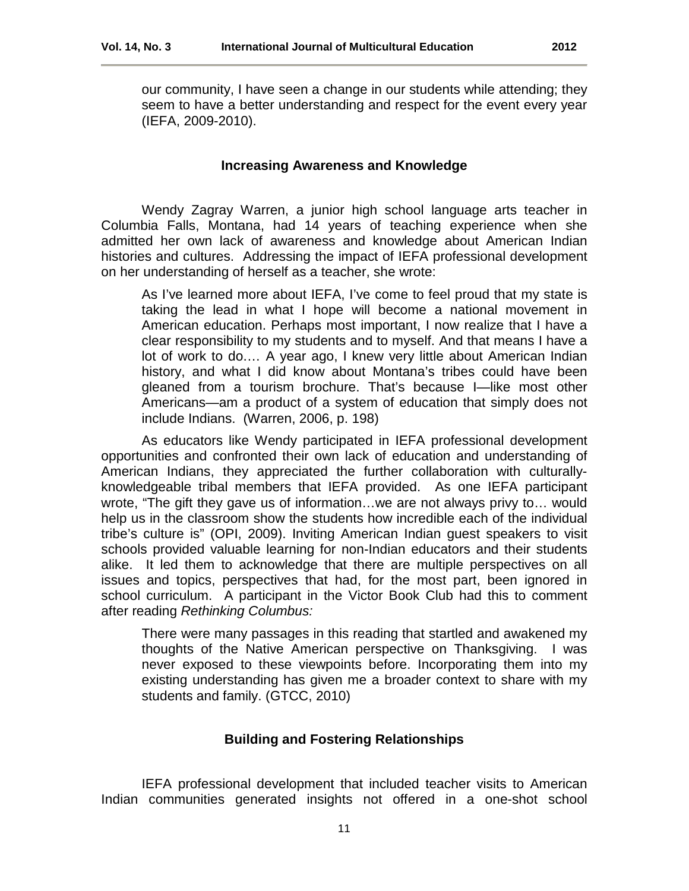our community, I have seen a change in our students while attending; they seem to have a better understanding and respect for the event every year (IEFA, 2009-2010).

### **Increasing Awareness and Knowledge**

<span id="page-10-0"></span>Wendy Zagray Warren, a junior high school language arts teacher in Columbia Falls, Montana, had 14 years of teaching experience when she admitted her own lack of awareness and knowledge about American Indian histories and cultures. Addressing the impact of IEFA professional development on her understanding of herself as a teacher, she wrote:

As I've learned more about IEFA, I've come to feel proud that my state is taking the lead in what I hope will become a national movement in American education. Perhaps most important, I now realize that I have a clear responsibility to my students and to myself. And that means I have a lot of work to do.… A year ago, I knew very little about American Indian history, and what I did know about Montana's tribes could have been gleaned from a tourism brochure. That's because I—like most other Americans—am a product of a system of education that simply does not include Indians. (Warren, 2006, p. 198)

As educators like Wendy participated in IEFA professional development opportunities and confronted their own lack of education and understanding of American Indians, they appreciated the further collaboration with culturallyknowledgeable tribal members that IEFA provided. As one IEFA participant wrote, "The gift they gave us of information…we are not always privy to… would help us in the classroom show the students how incredible each of the individual tribe's culture is" (OPI, 2009). Inviting American Indian guest speakers to visit schools provided valuable learning for non-Indian educators and their students alike. It led them to acknowledge that there are multiple perspectives on all issues and topics, perspectives that had, for the most part, been ignored in school curriculum. A participant in the Victor Book Club had this to comment after reading *Rethinking Columbus:* 

There were many passages in this reading that startled and awakened my thoughts of the Native American perspective on Thanksgiving. I was never exposed to these viewpoints before. Incorporating them into my existing understanding has given me a broader context to share with my students and family. (GTCC, 2010)

# **Building and Fostering Relationships**

<span id="page-10-1"></span>IEFA professional development that included teacher visits to American Indian communities generated insights not offered in a one-shot school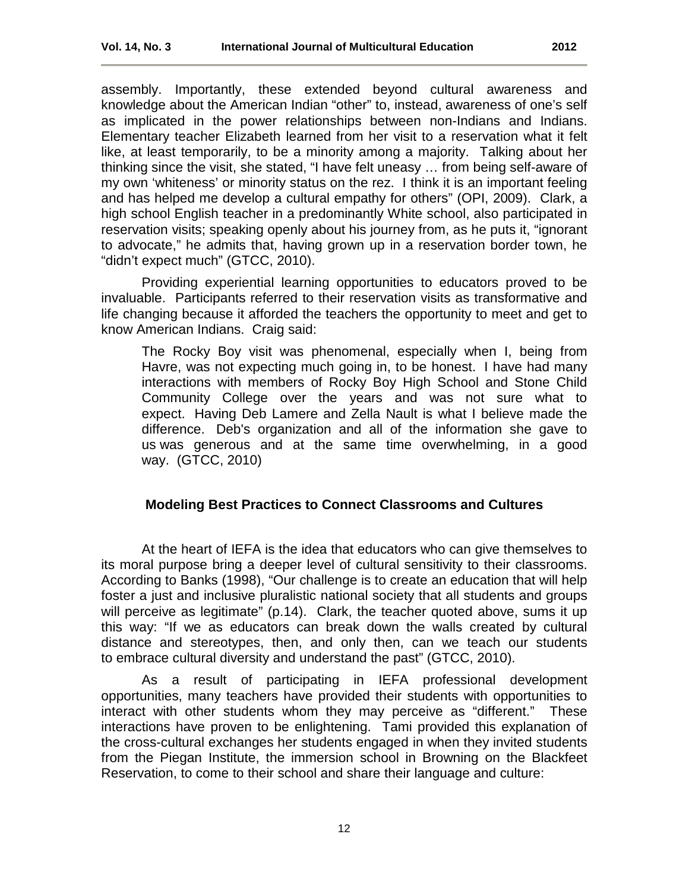assembly. Importantly, these extended beyond cultural awareness and knowledge about the American Indian "other" to, instead, awareness of one's self as implicated in the power relationships between non-Indians and Indians. Elementary teacher Elizabeth learned from her visit to a reservation what it felt like, at least temporarily, to be a minority among a majority. Talking about her thinking since the visit, she stated, "I have felt uneasy … from being self-aware of my own 'whiteness' or minority status on the rez. I think it is an important feeling and has helped me develop a cultural empathy for others" (OPI, 2009). Clark, a high school English teacher in a predominantly White school, also participated in reservation visits; speaking openly about his journey from, as he puts it, "ignorant to advocate," he admits that, having grown up in a reservation border town, he "didn't expect much" (GTCC, 2010).

Providing experiential learning opportunities to educators proved to be invaluable. Participants referred to their reservation visits as transformative and life changing because it afforded the teachers the opportunity to meet and get to know American Indians. Craig said:

The Rocky Boy visit was phenomenal, especially when I, being from Havre, was not expecting much going in, to be honest. I have had many interactions with members of Rocky Boy High School and Stone Child Community College over the years and was not sure what to expect. Having Deb Lamere and Zella Nault is what I believe made the difference. Deb's organization and all of the information she gave to us was generous and at the same time overwhelming, in a good way. (GTCC, 2010)

# <span id="page-11-0"></span>**Modeling Best Practices to Connect Classrooms and Cultures**

At the heart of IEFA is the idea that educators who can give themselves to its moral purpose bring a deeper level of cultural sensitivity to their classrooms. According to Banks (1998), "Our challenge is to create an education that will help foster a just and inclusive pluralistic national society that all students and groups will perceive as legitimate" (p.14). Clark, the teacher quoted above, sums it up this way: "If we as educators can break down the walls created by cultural distance and stereotypes, then, and only then, can we teach our students to embrace cultural diversity and understand the past" (GTCC, 2010).

As a result of participating in IEFA professional development opportunities, many teachers have provided their students with opportunities to interact with other students whom they may perceive as "different." These interactions have proven to be enlightening. Tami provided this explanation of the cross-cultural exchanges her students engaged in when they invited students from the Piegan Institute, the immersion school in Browning on the Blackfeet Reservation, to come to their school and share their language and culture: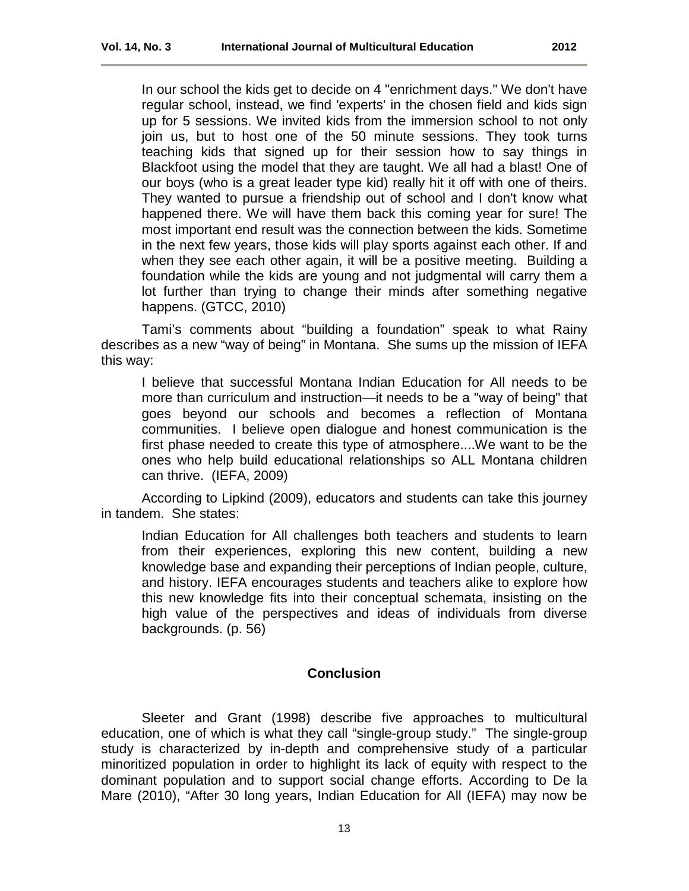In our school the kids get to decide on 4 "enrichment days." We don't have regular school, instead, we find 'experts' in the chosen field and kids sign up for 5 sessions. We invited kids from the immersion school to not only join us, but to host one of the 50 minute sessions. They took turns teaching kids that signed up for their session how to say things in Blackfoot using the model that they are taught. We all had a blast! One of our boys (who is a great leader type kid) really hit it off with one of theirs. They wanted to pursue a friendship out of school and I don't know what happened there. We will have them back this coming year for sure! The most important end result was the connection between the kids. Sometime in the next few years, those kids will play sports against each other. If and when they see each other again, it will be a positive meeting. Building a foundation while the kids are young and not judgmental will carry them a lot further than trying to change their minds after something negative happens. (GTCC, 2010)

Tami's comments about "building a foundation" speak to what Rainy describes as a new "way of being" in Montana. She sums up the mission of IEFA this way:

I believe that successful Montana Indian Education for All needs to be more than curriculum and instruction—it needs to be a "way of being" that goes beyond our schools and becomes a reflection of Montana communities. I believe open dialogue and honest communication is the first phase needed to create this type of atmosphere....We want to be the ones who help build educational relationships so ALL Montana children can thrive. (IEFA, 2009)

According to Lipkind (2009), educators and students can take this journey in tandem. She states:

Indian Education for All challenges both teachers and students to learn from their experiences, exploring this new content, building a new knowledge base and expanding their perceptions of Indian people, culture, and history. IEFA encourages students and teachers alike to explore how this new knowledge fits into their conceptual schemata, insisting on the high value of the perspectives and ideas of individuals from diverse backgrounds. (p. 56)

# **Conclusion**

<span id="page-12-0"></span>Sleeter and Grant (1998) describe five approaches to multicultural education, one of which is what they call "single-group study." The single-group study is characterized by in-depth and comprehensive study of a particular minoritized population in order to highlight its lack of equity with respect to the dominant population and to support social change efforts. According to De la Mare (2010), "After 30 long years, Indian Education for All (IEFA) may now be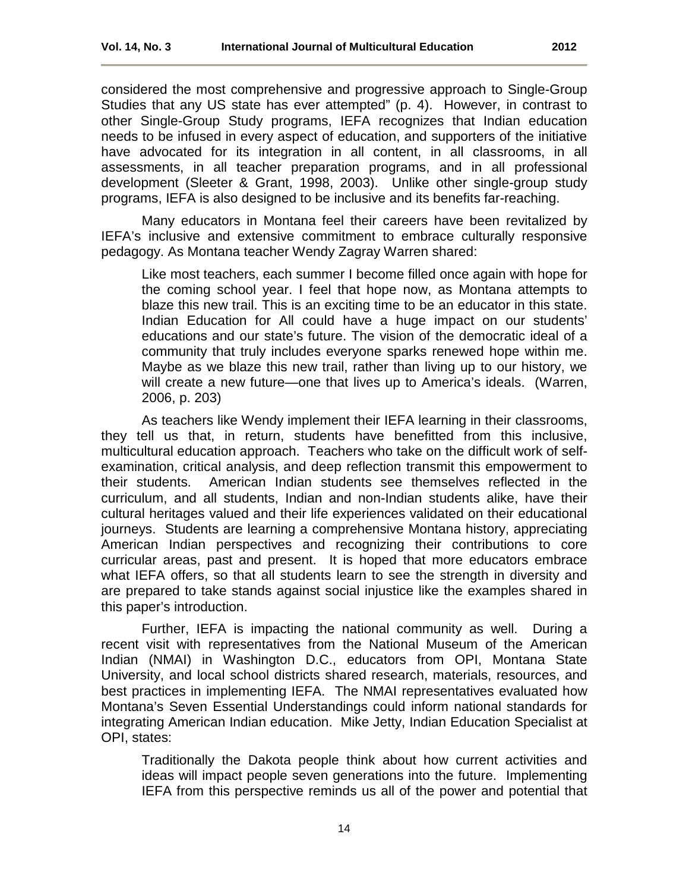considered the most comprehensive and progressive approach to Single-Group Studies that any US state has ever attempted" (p. 4). However, in contrast to other Single-Group Study programs, IEFA recognizes that Indian education needs to be infused in every aspect of education, and supporters of the initiative have advocated for its integration in all content, in all classrooms, in all assessments, in all teacher preparation programs, and in all professional development (Sleeter & Grant, 1998, 2003). Unlike other single-group study programs, IEFA is also designed to be inclusive and its benefits far-reaching.

Many educators in Montana feel their careers have been revitalized by IEFA's inclusive and extensive commitment to embrace culturally responsive pedagogy. As Montana teacher Wendy Zagray Warren shared:

Like most teachers, each summer I become filled once again with hope for the coming school year. I feel that hope now, as Montana attempts to blaze this new trail. This is an exciting time to be an educator in this state. Indian Education for All could have a huge impact on our students' educations and our state's future. The vision of the democratic ideal of a community that truly includes everyone sparks renewed hope within me. Maybe as we blaze this new trail, rather than living up to our history, we will create a new future—one that lives up to America's ideals. (Warren, 2006, p. 203)

As teachers like Wendy implement their IEFA learning in their classrooms, they tell us that, in return, students have benefitted from this inclusive, multicultural education approach. Teachers who take on the difficult work of selfexamination, critical analysis, and deep reflection transmit this empowerment to their students. American Indian students see themselves reflected in the curriculum, and all students, Indian and non-Indian students alike, have their cultural heritages valued and their life experiences validated on their educational journeys. Students are learning a comprehensive Montana history, appreciating American Indian perspectives and recognizing their contributions to core curricular areas, past and present. It is hoped that more educators embrace what IEFA offers, so that all students learn to see the strength in diversity and are prepared to take stands against social injustice like the examples shared in this paper's introduction.

Further, IEFA is impacting the national community as well. During a recent visit with representatives from the National Museum of the American Indian (NMAI) in Washington D.C., educators from OPI, Montana State University, and local school districts shared research, materials, resources, and best practices in implementing IEFA. The NMAI representatives evaluated how Montana's Seven Essential Understandings could inform national standards for integrating American Indian education. Mike Jetty, Indian Education Specialist at OPI, states:

Traditionally the Dakota people think about how current activities and ideas will impact people seven generations into the future. Implementing IEFA from this perspective reminds us all of the power and potential that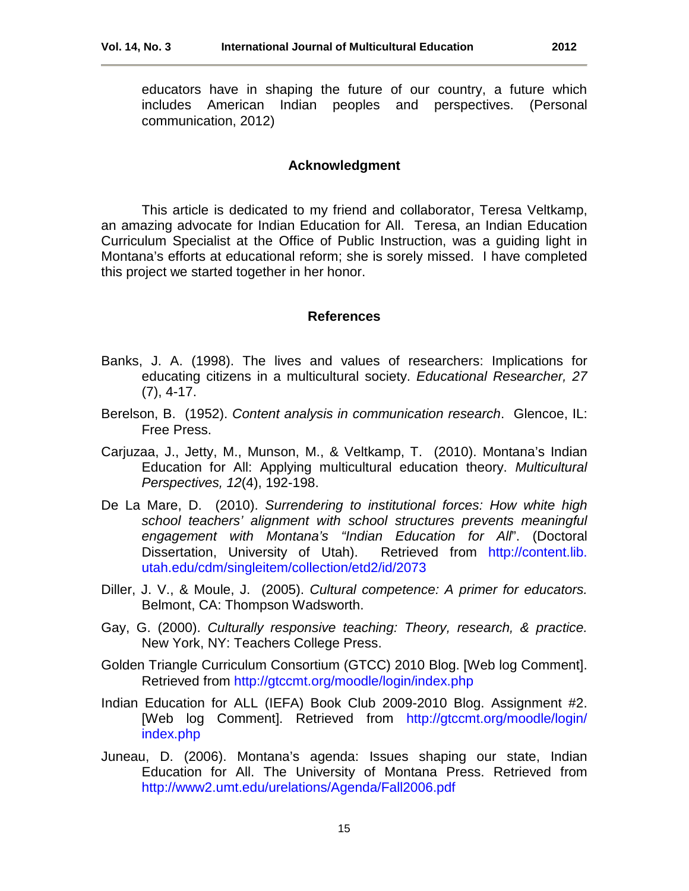educators have in shaping the future of our country, a future which includes American Indian peoples and perspectives. (Personal communication, 2012)

#### **Acknowledgment**

This article is dedicated to my friend and collaborator, Teresa Veltkamp, an amazing advocate for Indian Education for All. Teresa, an Indian Education Curriculum Specialist at the Office of Public Instruction, was a guiding light in Montana's efforts at educational reform; she is sorely missed. I have completed this project we started together in her honor.

#### **References**

- Banks, J. A. (1998). The lives and values of researchers: Implications for educating citizens in a multicultural society. *Educational Researcher, 27* (7), 4-17.
- Berelson, B. (1952). *Content analysis in communication research*. Glencoe, IL: Free Press.
- Carjuzaa, J., Jetty, M., Munson, M., & Veltkamp, T. (2010). Montana's Indian Education for All: Applying multicultural education theory. *Multicultural Perspectives, 12*(4), 192-198.
- De La Mare, D. (2010). *Surrendering to institutional forces: How white high school teachers' alignment with school structures prevents meaningful engagement with Montana's "Indian Education for All*". (Doctoral Dissertation, University of Utah). Retrieved from http://content.lib. utah.edu/cdm/singleitem/collection/etd2/id/2073
- Diller, J. V., & Moule, J. (2005). *Cultural competence: A primer for educators.* Belmont, CA: Thompson Wadsworth.
- Gay, G. (2000). *Culturally responsive teaching: Theory, research, & practice.*  New York, NY: Teachers College Press.
- Golden Triangle Curriculum Consortium (GTCC) 2010 Blog. [Web log Comment]. Retrieved from <http://gtccmt.org/moodle/login/index.php>
- Indian Education for ALL (IEFA) Book Club 2009-2010 Blog. Assignment #2. [Web log Comment]. Retrieved from [http://gtccmt.org/moodle/login/](http://gtccmt.org/moodle/login/%20index.php)  [index.php](http://gtccmt.org/moodle/login/%20index.php)
- Juneau, D. (2006). Montana's agenda: Issues shaping our state, Indian Education for All. The University of Montana Press. Retrieved from <http://www2.umt.edu/urelations/Agenda/Fall2006.pdf>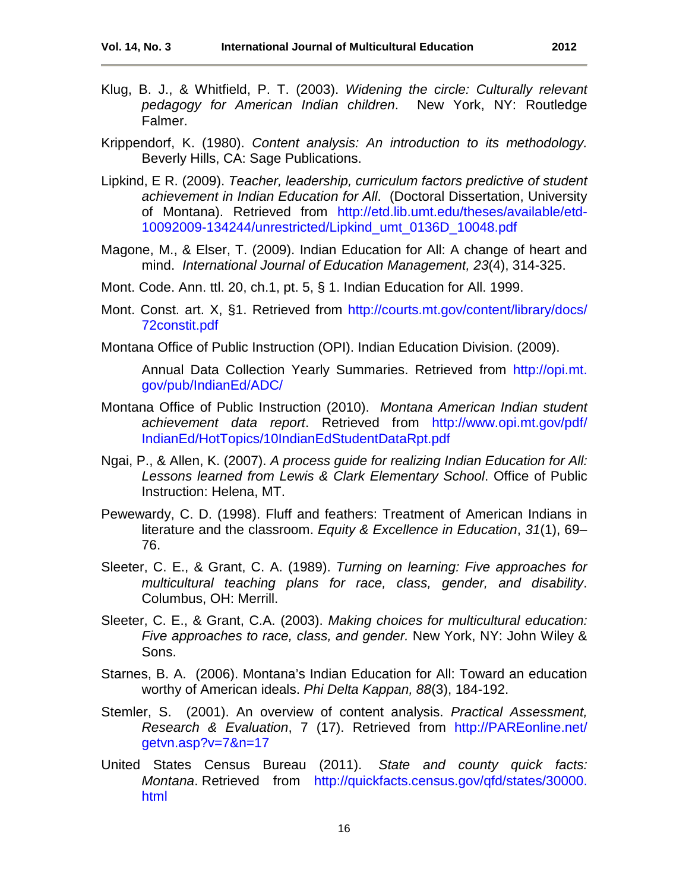- Klug, B. J., & Whitfield, P. T. (2003). *Widening the circle: Culturally relevant pedagogy for American Indian children*. New York, NY: Routledge Falmer.
- Krippendorf, K. (1980). *Content analysis: An introduction to its methodology.*  Beverly Hills, CA: Sage Publications.
- Lipkind, E R. (2009). *Teacher, leadership, curriculum factors predictive of student achievement in Indian Education for All*. (Doctoral Dissertation, University of Montana). Retrieved from [http://etd.lib.umt.edu/theses/available/etd-](http://etd.lib.umt.edu/theses/available/etd-10092009-134244/unrestricted/Lipkind_umt_0136D_10048.pdf)[10092009-134244/unrestricted/Lipkind\\_umt\\_0136D\\_10048.pdf](http://etd.lib.umt.edu/theses/available/etd-10092009-134244/unrestricted/Lipkind_umt_0136D_10048.pdf)
- Magone, M., & Elser, T. (2009). Indian Education for All: A change of heart and mind. *International Journal of Education Management, 23*(4), 314-325.
- Mont. Code. Ann. ttl. 20, ch.1, pt. 5, § 1. Indian Education for All. 1999.
- Mont. Const. art. X, §1. Retrieved from http://courts.mt.gov/content/library/docs/ [72constit.pdf](http://courts.mt.gov/content/library/docs/%2072constit.pdf)
- Montana Office of Public Instruction (OPI). Indian Education Division. (2009).

Annual Data Collection Yearly Summaries. Retrieved from http://opi.mt. gov/pub/IndianEd/ADC/

- Montana Office of Public Instruction (2010). *Montana American Indian student achievement data report*. Retrieved from [http://www.opi.mt.gov/pdf/](http://www.opi.mt.gov/pdf/%20IndianEd/HotTopics/10IndianEdStudentDataRpt.pdf)  [IndianEd/HotTopics/10IndianEdStudentDataRpt.pdf](http://www.opi.mt.gov/pdf/%20IndianEd/HotTopics/10IndianEdStudentDataRpt.pdf)
- Ngai, P., & Allen, K. (2007). *A process guide for realizing Indian Education for All: Lessons learned from Lewis & Clark Elementary School*. Office of Public Instruction: Helena, MT.
- Pewewardy, C. D. (1998). Fluff and feathers: Treatment of American Indians in literature and the classroom. *Equity & Excellence in Education*, *31*(1), 69– 76.
- Sleeter, C. E., & Grant, C. A. (1989). *Turning on learning: Five approaches for multicultural teaching plans for race, class, gender, and disability*. Columbus, OH: Merrill.
- Sleeter, C. E., & Grant, C.A. (2003). *Making choices for multicultural education: Five approaches to race, class, and gender.* New York, NY: John Wiley & Sons.
- Starnes, B. A. (2006). Montana's Indian Education for All: Toward an education worthy of American ideals. *Phi Delta Kappan, 88*(3), 184-192.
- Stemler, S. (2001). An overview of content analysis. *Practical Assessment, Research & Evaluation*, 7 (17). Retrieved from [http://PAREonline.net/](http://pareonline.net/%20getvn.asp?v=7&n=17)  [getvn.asp?v=7&n=17](http://pareonline.net/%20getvn.asp?v=7&n=17)
- United States Census Bureau (2011). *State and county quick facts: Montana*. Retrieved from [http://quickfacts.census.gov/qfd/states/30000.](http://quickfacts.census.gov/qfd/states/30000.%20html)  [html](http://quickfacts.census.gov/qfd/states/30000.%20html)